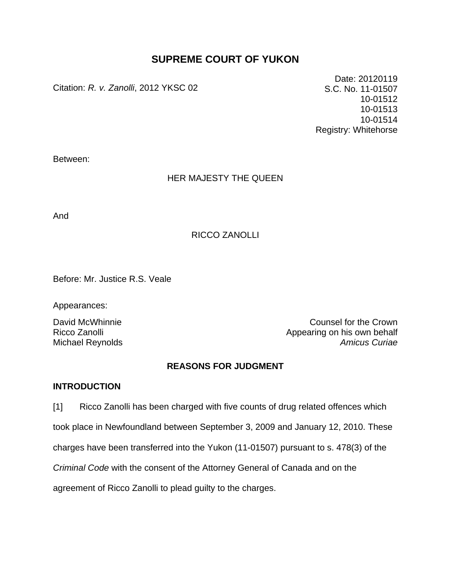# **SUPREME COURT OF YUKON**

Citation: *R. v. Zanolli*, 2012 YKSC 02

Date: 20120119 S.C. No. 11-01507 10-01512 10-01513 10-01514 Registry: Whitehorse

Between:

## HER MAJESTY THE QUEEN

And

## RICCO ZANOLLI

Before: Mr. Justice R.S. Veale

Appearances:

David McWhinnie **Counsel for the Crown** Ricco Zanolli Appearing on his own behalf Michael Reynolds *Amicus Curiae*

## **REASONS FOR JUDGMENT**

## **INTRODUCTION**

[1] Ricco Zanolli has been charged with five counts of drug related offences which took place in Newfoundland between September 3, 2009 and January 12, 2010. These charges have been transferred into the Yukon (11-01507) pursuant to s. 478(3) of the *Criminal Code* with the consent of the Attorney General of Canada and on the agreement of Ricco Zanolli to plead guilty to the charges.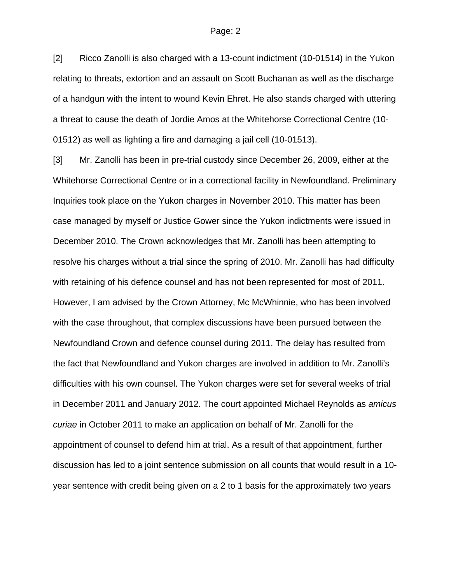[2] Ricco Zanolli is also charged with a 13-count indictment (10-01514) in the Yukon relating to threats, extortion and an assault on Scott Buchanan as well as the discharge of a handgun with the intent to wound Kevin Ehret. He also stands charged with uttering a threat to cause the death of Jordie Amos at the Whitehorse Correctional Centre (10- 01512) as well as lighting a fire and damaging a jail cell (10-01513).

[3] Mr. Zanolli has been in pre-trial custody since December 26, 2009, either at the Whitehorse Correctional Centre or in a correctional facility in Newfoundland. Preliminary Inquiries took place on the Yukon charges in November 2010. This matter has been case managed by myself or Justice Gower since the Yukon indictments were issued in December 2010. The Crown acknowledges that Mr. Zanolli has been attempting to resolve his charges without a trial since the spring of 2010. Mr. Zanolli has had difficulty with retaining of his defence counsel and has not been represented for most of 2011. However, I am advised by the Crown Attorney, Mc McWhinnie, who has been involved with the case throughout, that complex discussions have been pursued between the Newfoundland Crown and defence counsel during 2011. The delay has resulted from the fact that Newfoundland and Yukon charges are involved in addition to Mr. Zanolli's difficulties with his own counsel. The Yukon charges were set for several weeks of trial in December 2011 and January 2012. The court appointed Michael Reynolds as *amicus curiae* in October 2011 to make an application on behalf of Mr. Zanolli for the appointment of counsel to defend him at trial. As a result of that appointment, further discussion has led to a joint sentence submission on all counts that would result in a 10 year sentence with credit being given on a 2 to 1 basis for the approximately two years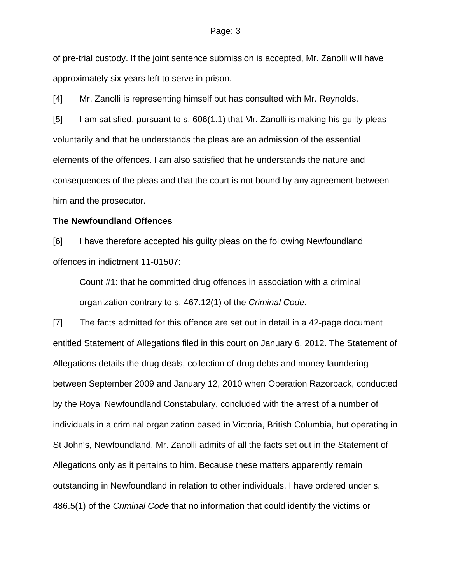of pre-trial custody. If the joint sentence submission is accepted, Mr. Zanolli will have approximately six years left to serve in prison.

[4] Mr. Zanolli is representing himself but has consulted with Mr. Reynolds.

[5] I am satisfied, pursuant to s. 606(1.1) that Mr. Zanolli is making his guilty pleas voluntarily and that he understands the pleas are an admission of the essential elements of the offences. I am also satisfied that he understands the nature and consequences of the pleas and that the court is not bound by any agreement between him and the prosecutor.

### **The Newfoundland Offences**

[6] I have therefore accepted his guilty pleas on the following Newfoundland offences in indictment 11-01507:

Count #1: that he committed drug offences in association with a criminal organization contrary to s. 467.12(1) of the *Criminal Code*.

[7] The facts admitted for this offence are set out in detail in a 42-page document entitled Statement of Allegations filed in this court on January 6, 2012. The Statement of Allegations details the drug deals, collection of drug debts and money laundering between September 2009 and January 12, 2010 when Operation Razorback, conducted by the Royal Newfoundland Constabulary, concluded with the arrest of a number of individuals in a criminal organization based in Victoria, British Columbia, but operating in St John's, Newfoundland. Mr. Zanolli admits of all the facts set out in the Statement of Allegations only as it pertains to him. Because these matters apparently remain outstanding in Newfoundland in relation to other individuals, I have ordered under s. 486.5(1) of the *Criminal Code* that no information that could identify the victims or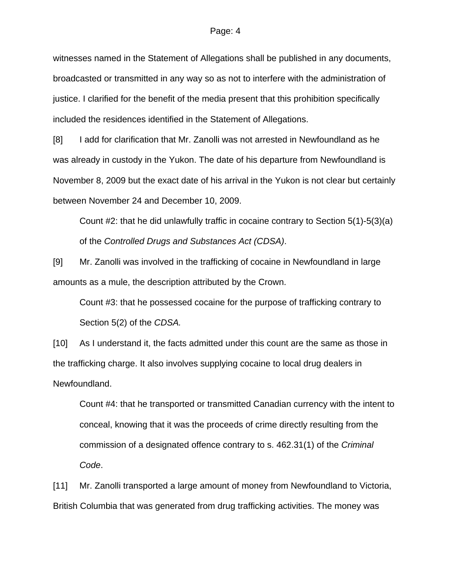witnesses named in the Statement of Allegations shall be published in any documents, broadcasted or transmitted in any way so as not to interfere with the administration of justice. I clarified for the benefit of the media present that this prohibition specifically included the residences identified in the Statement of Allegations.

[8] I add for clarification that Mr. Zanolli was not arrested in Newfoundland as he was already in custody in the Yukon. The date of his departure from Newfoundland is November 8, 2009 but the exact date of his arrival in the Yukon is not clear but certainly between November 24 and December 10, 2009.

Count #2: that he did unlawfully traffic in cocaine contrary to Section 5(1)-5(3)(a) of the *Controlled Drugs and Substances Act (CDSA)*.

[9] Mr. Zanolli was involved in the trafficking of cocaine in Newfoundland in large amounts as a mule, the description attributed by the Crown.

Count #3: that he possessed cocaine for the purpose of trafficking contrary to Section 5(2) of the *CDSA.* 

[10] As I understand it, the facts admitted under this count are the same as those in the trafficking charge. It also involves supplying cocaine to local drug dealers in Newfoundland.

Count #4: that he transported or transmitted Canadian currency with the intent to conceal, knowing that it was the proceeds of crime directly resulting from the commission of a designated offence contrary to s. 462.31(1) of the *Criminal Code*.

[11] Mr. Zanolli transported a large amount of money from Newfoundland to Victoria, British Columbia that was generated from drug trafficking activities. The money was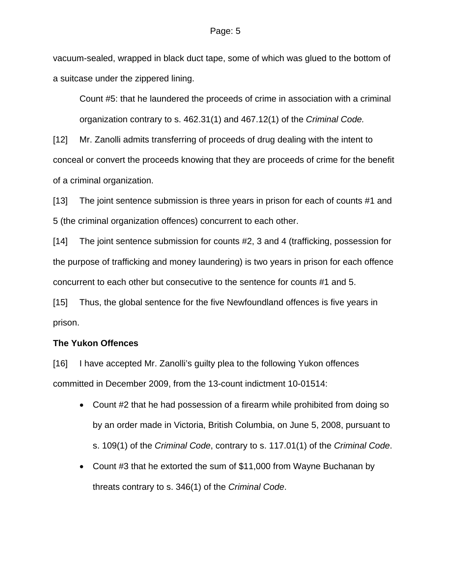vacuum-sealed, wrapped in black duct tape, some of which was glued to the bottom of a suitcase under the zippered lining.

Count #5: that he laundered the proceeds of crime in association with a criminal organization contrary to s. 462.31(1) and 467.12(1) of the *Criminal Code.*

[12] Mr. Zanolli admits transferring of proceeds of drug dealing with the intent to conceal or convert the proceeds knowing that they are proceeds of crime for the benefit of a criminal organization.

[13] The joint sentence submission is three years in prison for each of counts #1 and 5 (the criminal organization offences) concurrent to each other.

[14] The joint sentence submission for counts #2, 3 and 4 (trafficking, possession for the purpose of trafficking and money laundering) is two years in prison for each offence concurrent to each other but consecutive to the sentence for counts #1 and 5.

[15] Thus, the global sentence for the five Newfoundland offences is five years in prison.

## **The Yukon Offences**

[16] I have accepted Mr. Zanolli's guilty plea to the following Yukon offences committed in December 2009, from the 13-count indictment 10-01514:

- Count #2 that he had possession of a firearm while prohibited from doing so by an order made in Victoria, British Columbia, on June 5, 2008, pursuant to s. 109(1) of the *Criminal Code*, contrary to s. 117.01(1) of the *Criminal Code*.
- Count #3 that he extorted the sum of \$11,000 from Wayne Buchanan by threats contrary to s. 346(1) of the *Criminal Code*.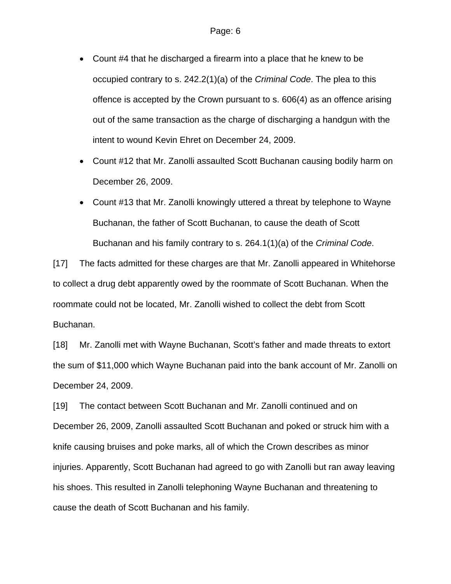- Count #4 that he discharged a firearm into a place that he knew to be occupied contrary to s. 242.2(1)(a) of the *Criminal Code*. The plea to this offence is accepted by the Crown pursuant to s. 606(4) as an offence arising out of the same transaction as the charge of discharging a handgun with the intent to wound Kevin Ehret on December 24, 2009.
- Count #12 that Mr. Zanolli assaulted Scott Buchanan causing bodily harm on December 26, 2009.
- Count #13 that Mr. Zanolli knowingly uttered a threat by telephone to Wayne Buchanan, the father of Scott Buchanan, to cause the death of Scott Buchanan and his family contrary to s. 264.1(1)(a) of the *Criminal Code*.

[17] The facts admitted for these charges are that Mr. Zanolli appeared in Whitehorse to collect a drug debt apparently owed by the roommate of Scott Buchanan. When the roommate could not be located, Mr. Zanolli wished to collect the debt from Scott Buchanan.

[18] Mr. Zanolli met with Wayne Buchanan, Scott's father and made threats to extort the sum of \$11,000 which Wayne Buchanan paid into the bank account of Mr. Zanolli on December 24, 2009.

[19] The contact between Scott Buchanan and Mr. Zanolli continued and on December 26, 2009, Zanolli assaulted Scott Buchanan and poked or struck him with a knife causing bruises and poke marks, all of which the Crown describes as minor injuries. Apparently, Scott Buchanan had agreed to go with Zanolli but ran away leaving his shoes. This resulted in Zanolli telephoning Wayne Buchanan and threatening to cause the death of Scott Buchanan and his family.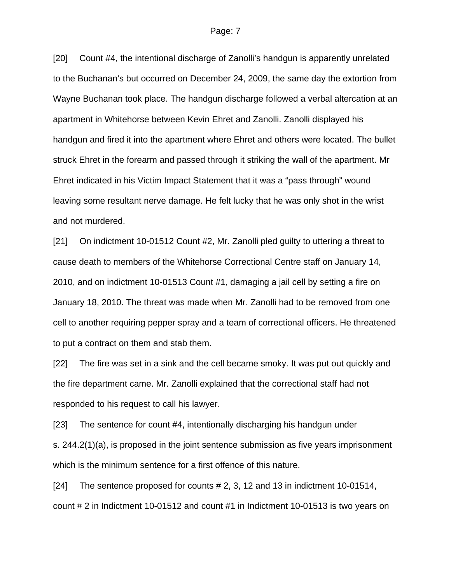[20] Count #4, the intentional discharge of Zanolli's handgun is apparently unrelated to the Buchanan's but occurred on December 24, 2009, the same day the extortion from Wayne Buchanan took place. The handgun discharge followed a verbal altercation at an apartment in Whitehorse between Kevin Ehret and Zanolli. Zanolli displayed his handgun and fired it into the apartment where Ehret and others were located. The bullet struck Ehret in the forearm and passed through it striking the wall of the apartment. Mr Ehret indicated in his Victim Impact Statement that it was a "pass through" wound leaving some resultant nerve damage. He felt lucky that he was only shot in the wrist and not murdered.

[21] On indictment 10-01512 Count #2, Mr. Zanolli pled guilty to uttering a threat to cause death to members of the Whitehorse Correctional Centre staff on January 14, 2010, and on indictment 10-01513 Count #1, damaging a jail cell by setting a fire on January 18, 2010. The threat was made when Mr. Zanolli had to be removed from one cell to another requiring pepper spray and a team of correctional officers. He threatened to put a contract on them and stab them.

[22] The fire was set in a sink and the cell became smoky. It was put out quickly and the fire department came. Mr. Zanolli explained that the correctional staff had not responded to his request to call his lawyer.

[23] The sentence for count #4, intentionally discharging his handgun under s. 244.2(1)(a), is proposed in the joint sentence submission as five years imprisonment which is the minimum sentence for a first offence of this nature.

[24] The sentence proposed for counts # 2, 3, 12 and 13 in indictment 10-01514, count # 2 in Indictment 10-01512 and count #1 in Indictment 10-01513 is two years on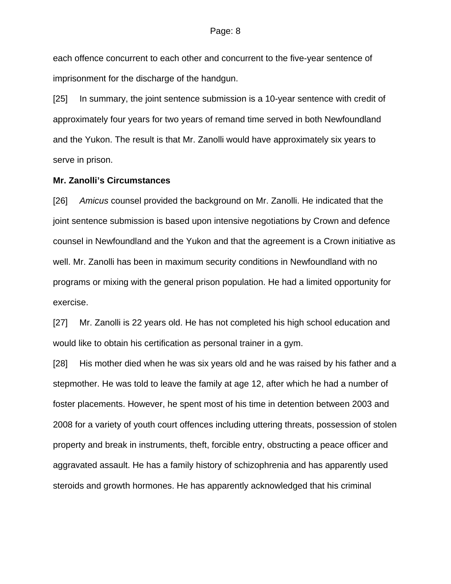each offence concurrent to each other and concurrent to the five-year sentence of imprisonment for the discharge of the handgun.

[25] In summary, the joint sentence submission is a 10-year sentence with credit of approximately four years for two years of remand time served in both Newfoundland and the Yukon. The result is that Mr. Zanolli would have approximately six years to serve in prison.

### **Mr. Zanolli's Circumstances**

[26] *Amicus* counsel provided the background on Mr. Zanolli. He indicated that the joint sentence submission is based upon intensive negotiations by Crown and defence counsel in Newfoundland and the Yukon and that the agreement is a Crown initiative as well. Mr. Zanolli has been in maximum security conditions in Newfoundland with no programs or mixing with the general prison population. He had a limited opportunity for exercise.

[27] Mr. Zanolli is 22 years old. He has not completed his high school education and would like to obtain his certification as personal trainer in a gym.

[28] His mother died when he was six years old and he was raised by his father and a stepmother. He was told to leave the family at age 12, after which he had a number of foster placements. However, he spent most of his time in detention between 2003 and 2008 for a variety of youth court offences including uttering threats, possession of stolen property and break in instruments, theft, forcible entry, obstructing a peace officer and aggravated assault. He has a family history of schizophrenia and has apparently used steroids and growth hormones. He has apparently acknowledged that his criminal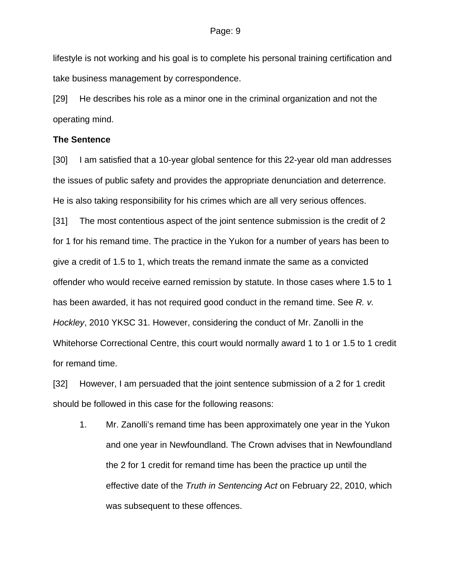lifestyle is not working and his goal is to complete his personal training certification and take business management by correspondence.

[29] He describes his role as a minor one in the criminal organization and not the operating mind.

### **The Sentence**

[30] I am satisfied that a 10-year global sentence for this 22-year old man addresses the issues of public safety and provides the appropriate denunciation and deterrence. He is also taking responsibility for his crimes which are all very serious offences.

[31] The most contentious aspect of the joint sentence submission is the credit of 2 for 1 for his remand time. The practice in the Yukon for a number of years has been to give a credit of 1.5 to 1, which treats the remand inmate the same as a convicted offender who would receive earned remission by statute. In those cases where 1.5 to 1 has been awarded, it has not required good conduct in the remand time. See *R. v. Hockley*, 2010 YKSC 31. However, considering the conduct of Mr. Zanolli in the Whitehorse Correctional Centre, this court would normally award 1 to 1 or 1.5 to 1 credit for remand time.

[32] However, I am persuaded that the joint sentence submission of a 2 for 1 credit should be followed in this case for the following reasons:

1. Mr. Zanolli's remand time has been approximately one year in the Yukon and one year in Newfoundland. The Crown advises that in Newfoundland the 2 for 1 credit for remand time has been the practice up until the effective date of the *Truth in Sentencing Act* on February 22, 2010, which was subsequent to these offences.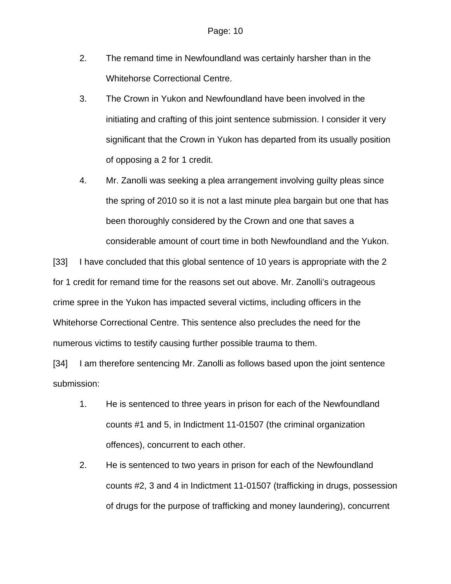- 2. The remand time in Newfoundland was certainly harsher than in the Whitehorse Correctional Centre.
- 3. The Crown in Yukon and Newfoundland have been involved in the initiating and crafting of this joint sentence submission. I consider it very significant that the Crown in Yukon has departed from its usually position of opposing a 2 for 1 credit.
- 4. Mr. Zanolli was seeking a plea arrangement involving guilty pleas since the spring of 2010 so it is not a last minute plea bargain but one that has been thoroughly considered by the Crown and one that saves a considerable amount of court time in both Newfoundland and the Yukon.

[33] I have concluded that this global sentence of 10 years is appropriate with the 2 for 1 credit for remand time for the reasons set out above. Mr. Zanolli's outrageous crime spree in the Yukon has impacted several victims, including officers in the Whitehorse Correctional Centre. This sentence also precludes the need for the numerous victims to testify causing further possible trauma to them.

[34] I am therefore sentencing Mr. Zanolli as follows based upon the joint sentence submission:

- 1. He is sentenced to three years in prison for each of the Newfoundland counts #1 and 5, in Indictment 11-01507 (the criminal organization offences), concurrent to each other.
- 2. He is sentenced to two years in prison for each of the Newfoundland counts #2, 3 and 4 in Indictment 11-01507 (trafficking in drugs, possession of drugs for the purpose of trafficking and money laundering), concurrent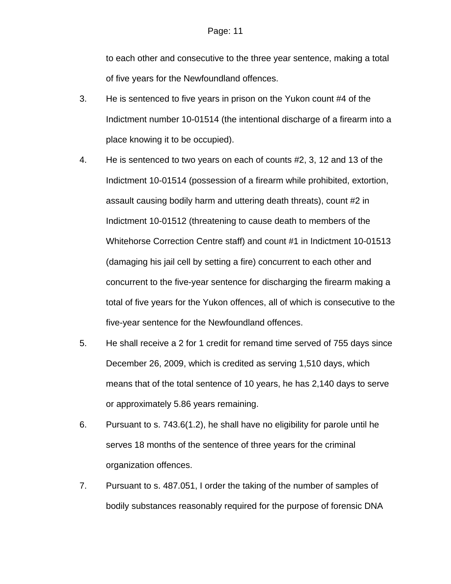to each other and consecutive to the three year sentence, making a total of five years for the Newfoundland offences.

- 3. He is sentenced to five years in prison on the Yukon count #4 of the Indictment number 10-01514 (the intentional discharge of a firearm into a place knowing it to be occupied).
- 4. He is sentenced to two years on each of counts #2, 3, 12 and 13 of the Indictment 10-01514 (possession of a firearm while prohibited, extortion, assault causing bodily harm and uttering death threats), count #2 in Indictment 10-01512 (threatening to cause death to members of the Whitehorse Correction Centre staff) and count #1 in Indictment 10-01513 (damaging his jail cell by setting a fire) concurrent to each other and concurrent to the five-year sentence for discharging the firearm making a total of five years for the Yukon offences, all of which is consecutive to the five-year sentence for the Newfoundland offences.
- 5. He shall receive a 2 for 1 credit for remand time served of 755 days since December 26, 2009, which is credited as serving 1,510 days, which means that of the total sentence of 10 years, he has 2,140 days to serve or approximately 5.86 years remaining.
- 6. Pursuant to s. 743.6(1.2), he shall have no eligibility for parole until he serves 18 months of the sentence of three years for the criminal organization offences.
- 7. Pursuant to s. 487.051, I order the taking of the number of samples of bodily substances reasonably required for the purpose of forensic DNA